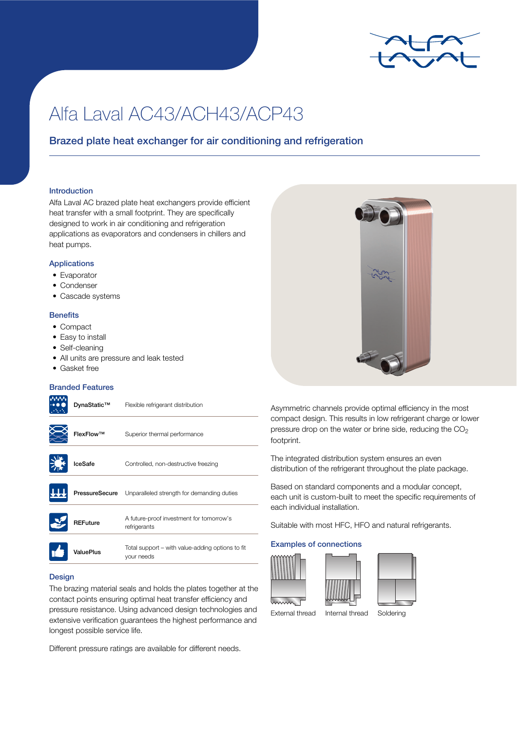

# Alfa Laval AC43/ACH43/ACP43

## Brazed plate heat exchanger for air conditioning and refrigeration

#### Introduction

Alfa Laval AC brazed plate heat exchangers provide efficient heat transfer with a small footprint. They are specifically designed to work in air conditioning and refrigeration applications as evaporators and condensers in chillers and heat pumps.

## Applications

- Evaporator
- Condenser
- Cascade systems

#### **Benefits**

- Compact
- Easy to install
- Self-cleaning
- All units are pressure and leak tested
- Gasket free

#### Branded Features

| ValuePlus       | Total support – with value-adding options to fit<br>your needs |
|-----------------|----------------------------------------------------------------|
| <b>REFuture</b> | A future-proof investment for tomorrow's<br>refrigerants       |
| PressureSecure  | Unparalleled strength for demanding duties                     |
| <b>IceSafe</b>  | Controlled, non-destructive freezing                           |
| FlexFlow™       | Superior thermal performance                                   |
| DynaStatic™     | Flexible refrigerant distribution                              |

## **Design**

The brazing material seals and holds the plates together at the contact points ensuring optimal heat transfer efficiency and pressure resistance. Using advanced design technologies and extensive verification guarantees the highest performance and longest possible service life.

Different pressure ratings are available for different needs.



Asymmetric channels provide optimal efficiency in the most compact design. This results in low refrigerant charge or lower pressure drop on the water or brine side, reducing the  $CO<sub>2</sub>$ footprint.

The integrated distribution system ensures an even distribution of the refrigerant throughout the plate package.

Based on standard components and a modular concept, each unit is custom-built to meet the specific requirements of each individual installation.

Suitable with most HFC, HFO and natural refrigerants.

## Examples of connections





External thread Internal thread Soldering